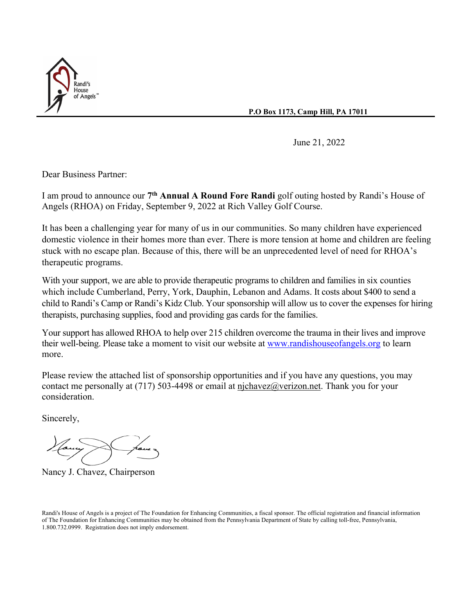

**P.O Box 1173, Camp Hill, PA 17011**

June 21, 2022

Dear Business Partner:

I am proud to announce our **7th Annual A Round Fore Randi** golf outing hosted by Randi's House of Angels (RHOA) on Friday, September 9, 2022 at Rich Valley Golf Course.

It has been a challenging year for many of us in our communities. So many children have experienced domestic violence in their homes more than ever. There is more tension at home and children are feeling stuck with no escape plan. Because of this, there will be an unprecedented level of need for RHOA's therapeutic programs.

With your support, we are able to provide therapeutic programs to children and families in six counties which include Cumberland, Perry, York, Dauphin, Lebanon and Adams. It costs about \$400 to send a child to Randi's Camp or Randi's Kidz Club. Your sponsorship will allow us to cover the expenses for hiring therapists, purchasing supplies, food and providing gas cards for the families.

Your support has allowed RHOA to help over 215 children overcome the trauma in their lives and improve their well-being. Please take a moment to visit our website at [www.randishouseofangels.org](http://www.randishouseofangels.org/) to learn more.

Please review the attached list of sponsorship opportunities and if you have any questions, you may contact me personally at (717) 503-4498 or email at [njchavez@verizon.net.](mailto:njchavez@verizon.net) Thank you for your consideration.

Sincerely,

Nancy J. Chavez, Chairperson

Randi's House of Angels is a project of The Foundation for Enhancing Communities, a fiscal sponsor. The official registration and financial information of The Foundation for Enhancing Communities may be obtained from the Pennsylvania Department of State by calling toll-free, Pennsylvania, 1.800.732.0999. Registration does not imply endorsement.